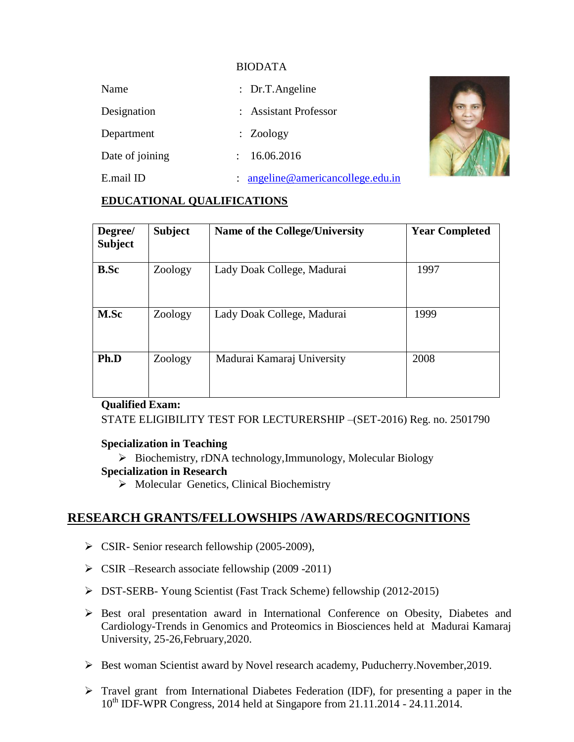### BIODATA

| Name            | : Dr.T.Angeline                      |  |
|-----------------|--------------------------------------|--|
| Designation     | : Assistant Professor                |  |
| Department      | : Zoology                            |  |
| Date of joining | 16.06.2016<br>$\ddot{\phantom{0}}$   |  |
| E.mail ID       | angeline@americancollege.edu.in<br>÷ |  |

### **EDUCATIONAL QUALIFICATIONS**

| Degree/<br><b>Subject</b> | <b>Subject</b> | <b>Name of the College/University</b> | <b>Year Completed</b> |
|---------------------------|----------------|---------------------------------------|-----------------------|
| <b>B.Sc</b>               | Zoology        | Lady Doak College, Madurai            | 1997                  |
| M.Sc                      | Zoology        | Lady Doak College, Madurai            | 1999                  |
| Ph.D                      | Zoology        | Madurai Kamaraj University            | 2008                  |

#### **Qualified Exam:**

STATE ELIGIBILITY TEST FOR LECTURERSHIP –(SET-2016) Reg. no. 2501790

### **Specialization in Teaching**

Biochemistry, rDNA technology,Immunology, Molecular Biology

#### **Specialization in Research**

 $\triangleright$  Molecular Genetics, Clinical Biochemistry

# **RESEARCH GRANTS/FELLOWSHIPS /AWARDS/RECOGNITIONS**

- $\triangleright$  CSIR- Senior research fellowship (2005-2009),
- $\triangleright$  CSIR –Research associate fellowship (2009 -2011)
- DST-SERB- Young Scientist (Fast Track Scheme) fellowship (2012-2015)
- $\triangleright$  Best oral presentation award in International Conference on Obesity, Diabetes and Cardiology-Trends in Genomics and Proteomics in Biosciences held at Madurai Kamaraj University, 25-26,February,2020.
- Best woman Scientist award by Novel research academy, Puducherry.November,2019.
- $\triangleright$  Travel grant from International Diabetes Federation (IDF), for presenting a paper in the 10th IDF-WPR Congress, 2014 held at Singapore from 21.11.2014 - 24.11.2014.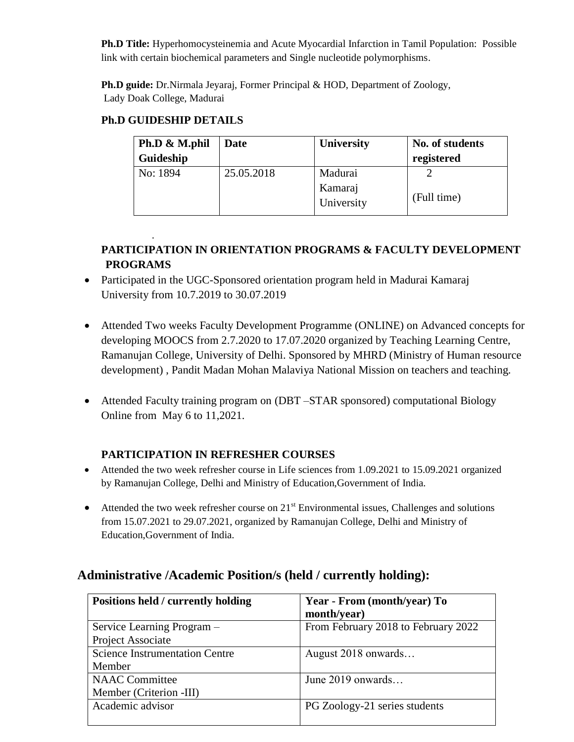**Ph.D Title:** Hyperhomocysteinemia and Acute Myocardial Infarction in Tamil Population: Possible link with certain biochemical parameters and Single nucleotide polymorphisms.

**Ph.D guide:** Dr.Nirmala Jeyaraj, Former Principal & HOD, Department of Zoology, Lady Doak College, Madurai

# **Ph.D GUIDESHIP DETAILS**

.

| Ph.D & M.phil | Date       | <b>University</b>     | No. of students |
|---------------|------------|-----------------------|-----------------|
| Guideship     |            |                       | registered      |
| No: 1894      | 25.05.2018 | Madurai               |                 |
|               |            | Kamaraj<br>University | (Full time)     |

# **PARTICIPATION IN ORIENTATION PROGRAMS & FACULTY DEVELOPMENT PROGRAMS**

- Participated in the UGC-Sponsored orientation program held in Madurai Kamaraj University from 10.7.2019 to 30.07.2019
- Attended Two weeks Faculty Development Programme (ONLINE) on Advanced concepts for developing MOOCS from 2.7.2020 to 17.07.2020 organized by Teaching Learning Centre, Ramanujan College, University of Delhi. Sponsored by MHRD (Ministry of Human resource development) , Pandit Madan Mohan Malaviya National Mission on teachers and teaching.
- Attended Faculty training program on (DBT –STAR sponsored) computational Biology Online from May 6 to 11,2021.

# **PARTICIPATION IN REFRESHER COURSES**

- Attended the two week refresher course in Life sciences from 1.09.2021 to 15.09.2021 organized by Ramanujan College, Delhi and Ministry of Education,Government of India.
- $\bullet$  Attended the two week refresher course on 21<sup>st</sup> Environmental issues, Challenges and solutions from 15.07.2021 to 29.07.2021, organized by Ramanujan College, Delhi and Ministry of Education,Government of India.

| Positions held / currently holding    | Year - From (month/year) To         |
|---------------------------------------|-------------------------------------|
|                                       | month/year)                         |
| Service Learning Program -            | From February 2018 to February 2022 |
| Project Associate                     |                                     |
| <b>Science Instrumentation Centre</b> | August 2018 onwards                 |
| Member                                |                                     |
| <b>NAAC Committee</b>                 | June 2019 onwards                   |
| Member (Criterion -III)               |                                     |
| Academic advisor                      | PG Zoology-21 series students       |
|                                       |                                     |

# **Administrative /Academic Position/s (held / currently holding):**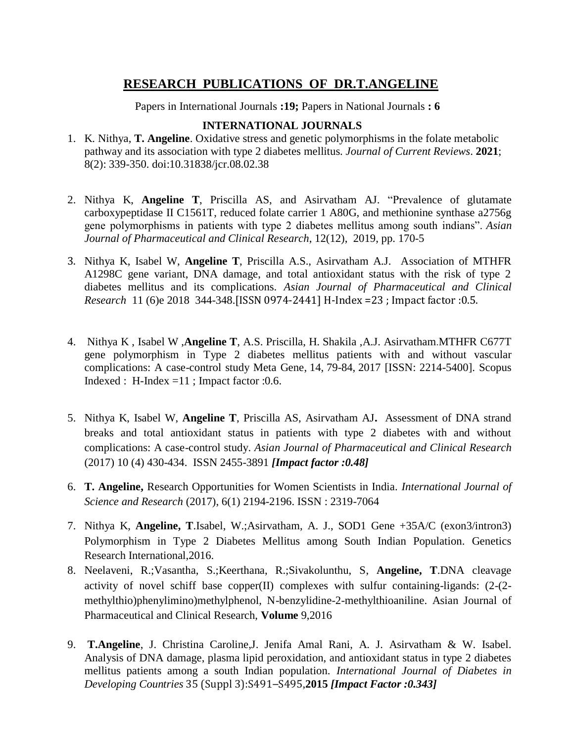# **RESEARCH PUBLICATIONS OF DR.T.ANGELINE**

Papers in International Journals **:19;** Papers in National Journals **: 6** 

### **INTERNATIONAL JOURNALS**

- 1. K. Nithya, **T. Angeline**. Oxidative stress and genetic polymorphisms in the folate metabolic pathway and its association with type 2 diabetes mellitus. *Journal of Current Reviews*. **2021**; 8(2): 339-350. [doi:10.31838/jcr.08.02.38](http://dx.doi.org/10.31838/jcr.08.02.38)
- 2. Nithya K, **Angeline T**, Priscilla AS, and Asirvatham AJ. "Prevalence of glutamate carboxypeptidase II C1561T, reduced folate carrier 1 A80G, and methionine synthase a2756g gene polymorphisms in patients with type 2 diabetes mellitus among south indians". *Asian Journal of Pharmaceutical and Clinical Research*, 12(12), 2019, pp. 170-5
- 3. Nithya K, Isabel W, **Angeline T**, Priscilla A.S., Asirvatham A.J. Association of MTHFR A1298C gene variant, DNA damage, and total antioxidant status with the risk of type 2 diabetes mellitus and its complications. *Asian Journal of Pharmaceutical and Clinical Research* 11 (6)e 2018 344-348.[ISSN 0974-2441] H-Index =23 ; Impact factor :0.5.
- 4. [Nithya](https://app.dimensions.ai/discover/publication?&and_facet_researcher=ur.01105026170.21) K , [Isabel](https://app.dimensions.ai/discover/publication?&and_facet_researcher=ur.0771232162.11) W ,**[Angeline](https://app.dimensions.ai/discover/publication?&and_facet_researcher=ur.0731750355.97) T**, A.S. Priscilla, [H. Shakila](https://app.dimensions.ai/discover/publication?&and_facet_researcher=ur.0720122262.40) [,A.J. Asirvatham](https://app.dimensions.ai/discover/publication?&and_facet_researcher=ur.0741473667.45).MTHFR C677T gene polymorphism in Type 2 diabetes mellitus patients with and without vascular complications: A case-control study [Meta Gene,](https://app.dimensions.ai/discover/publication?&and_facet_journal=jour.1049791) 14, 79-84, 2017 [ISSN: 2214-5400]. Scopus Indexed : H-Index =11 ; Impact factor :0.6.
- 5. Nithya K, Isabel W, **Angeline T**, Priscilla AS, Asirvatham AJ**.** Assessment of DNA strand breaks and total antioxidant status in patients with type 2 diabetes with and without complications: A case-control study. *Asian Journal of Pharmaceutical and Clinical Research* (2017) 10 (4) 430-434. ISSN 2455-3891 *[Impact factor :0.48]*
- 6. **T. Angeline,** Research Opportunities for Women Scientists in India. *International Journal of Science and Research* (2017), 6(1) 2194-2196. ISSN : 2319-7064
- 7. Nithya K, **Angeline, T**.Isabel, W.;Asirvatham, A. J., SOD1 Gene +35A/C (exon3/intron3) Polymorphism in Type 2 Diabetes Mellitus among South Indian Population. Genetics Research International,2016.
- 8. Neelaveni, R.;Vasantha, S.;Keerthana, R.;Sivakolunthu, S, **Angeline, T**.DNA cleavage activity of novel schiff base copper(II) complexes with sulfur containing-ligands: (2-(2 methylthio)phenylimino)methylphenol, N-benzylidine-2-methylthioaniline. Asian Journal of Pharmaceutical and Clinical Research, **Volume** 9,2016
- 9. **T.Angeline**, J. Christina Caroline,J. Jenifa Amal Rani, A. J. Asirvatham & W. Isabel. Analysis of DNA damage, plasma lipid peroxidation, and antioxidant status in type 2 diabetes mellitus patients among a south Indian population. *International Journal of Diabetes in Developing Countries* 35 (Suppl 3):S491–S495,**2015** *[Impact Factor :0.343]*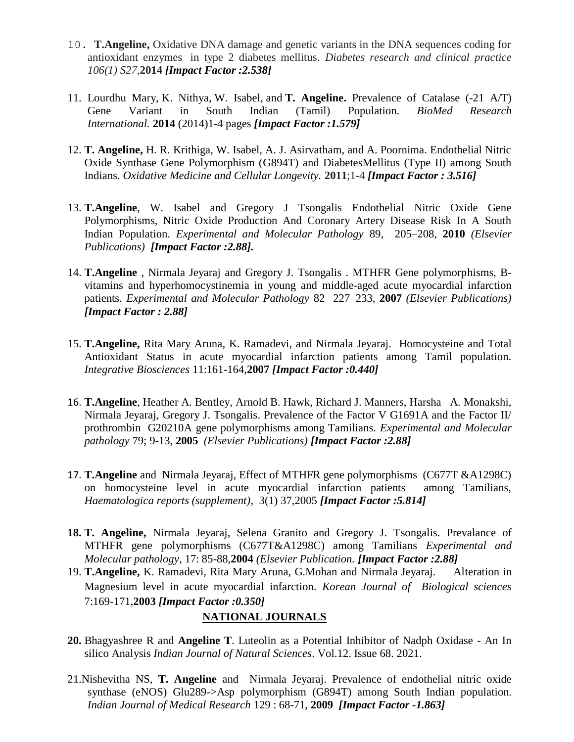- 10. **T.Angeline,** Oxidative DNA damage and genetic variants in the DNA sequences coding for antioxidant enzymes in type 2 diabetes mellitus. *Diabetes research and clinical practice 106(1) S27,***2014** *[Impact Factor :2.538]*
- 11. [Lourdhu Mary,](http://www.hindawi.com/56194265/) [K. Nithya,](http://www.hindawi.com/60536941/) [W. Isabel,](http://www.hindawi.com/60732029/) and **[T. Angeline.](http://www.hindawi.com/41281738/)** Prevalence of Catalase (-21 A/T) Gene Variant in South Indian (Tamil) Population. *BioMed Research International.* **2014** (2014)1-4 pages *[Impact Factor :1.579]*
- 12. **T. Angeline,** H. R. Krithiga, W. Isabel, A. J. Asirvatham, and A. Poornima. Endothelial Nitric Oxide Synthase Gene Polymorphism (G894T) and DiabetesMellitus (Type II) among South Indians. *Oxidative Medicine and Cellular Longevity.* **2011**;1-4 *[Impact Factor : 3.516]*
- 13. **T.Angeline**, W. Isabel and Gregory J Tsongalis Endothelial Nitric Oxide Gene Polymorphisms, Nitric Oxide Production And Coronary Artery Disease Risk In A South Indian Population. *Experimental and Molecular Pathology* 89, 205–208, **2010** *(Elsevier Publications) [Impact Factor :2.88].*
- 14. **T.Angeline** , Nirmala Jeyaraj and Gregory J. Tsongalis . MTHFR Gene polymorphisms, Bvitamins and hyperhomocystinemia in young and middle-aged acute myocardial infarction patients. *Experimental and Molecular Pathology* 82 227–233, **2007** *(Elsevier Publications) [Impact Factor : 2.88]*
- 15. **T.Angeline,** Rita Mary Aruna, K. Ramadevi, and Nirmala Jeyaraj. Homocysteine and Total Antioxidant Status in acute myocardial infarction patients among Tamil population. *Integrative Biosciences* 11:161-164,**2007** *[Impact Factor :0.440]*
- 16. **T.Angeline**, Heather A. Bentley, Arnold B. Hawk, Richard J. Manners, Harsha A. Monakshi, Nirmala Jeyaraj, Gregory J. Tsongalis. Prevalence of the Factor V G1691A and the Factor II/ prothrombin G20210A gene polymorphisms among Tamilians. *Experimental and Molecular pathology* 79; 9-13, **2005** *(Elsevier Publications) [Impact Factor :2.88]*
- 17. **T.Angeline** and Nirmala Jeyaraj, Effect of MTHFR gene polymorphisms (C677T &A1298C) on homocysteine level in acute myocardial infarction patients among Tamilians, *Haematologica reports (supplement)*, 3(1) 37,2005 *[Impact Factor :5.814]*
- **18. T. Angeline,** Nirmala Jeyaraj, Selena Granito and Gregory J. Tsongalis. Prevalance of MTHFR gene polymorphisms (C677T&A1298C) among Tamilians *Experimental and Molecular pathology*, 17: 85-88,**2004** *(Elsevier Publication. [Impact Factor :2.88]*
- 19. **T.Angeline,** K. Ramadevi, Rita Mary Aruna, G.Mohan and Nirmala Jeyaraj. Alteration in Magnesium level in acute myocardial infarction*. Korean Journal of Biological sciences*  7:169-171,**2003** *[Impact Factor :0.350]*

#### **NATIONAL JOURNALS**

- **20.** Bhagyashree R and **Angeline T**. Luteolin as a Potential Inhibitor of Nadph Oxidase An In silico Analysis *Indian Journal of Natural Sciences*. Vol.12. Issue 68. 2021.
- 21.Nishevitha NS, **T. Angeline** and Nirmala Jeyaraj. Prevalence of endothelial nitric oxide synthase (eNOS) Glu289->Asp polymorphism (G894T) among South Indian population. *Indian Journal of Medical Research* 129 : 68-71, **2009** *[Impact Factor -1.863]*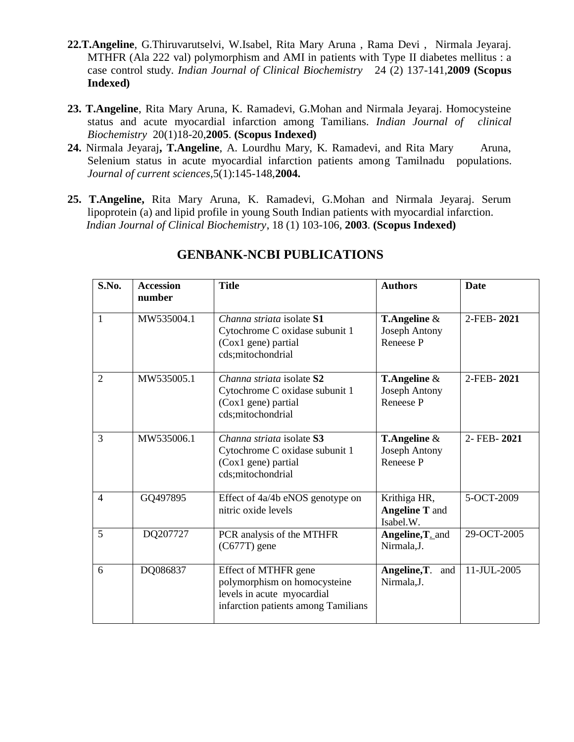- **22.T.Angeline**, G.Thiruvarutselvi, W.Isabel, Rita Mary Aruna , Rama Devi , Nirmala Jeyaraj. MTHFR (Ala 222 val) polymorphism and AMI in patients with Type II diabetes mellitus : a case control study. *Indian Journal of Clinical Biochemistry* 24 (2) 137-141,**2009 (Scopus Indexed)**
- **23. T.Angeline**, Rita Mary Aruna, K. Ramadevi, G.Mohan and Nirmala Jeyaraj. Homocysteine status and acute myocardial infarction among Tamilians. *Indian Journal of clinical Biochemistry* 20(1)18-20,**2005**. **(Scopus Indexed)**
- **24.** Nirmala Jeyaraj**, T.Angeline**, A. Lourdhu Mary, K. Ramadevi, and Rita Mary Aruna, Selenium status in acute myocardial infarction patients among Tamilnadu populations. *Journal of current sciences*,5(1):145-148,**2004.**
- **25. T.Angeline,** Rita Mary Aruna, K. Ramadevi, G.Mohan and Nirmala Jeyaraj. Serum lipoprotein (a) and lipid profile in young South Indian patients with myocardial infarction.  *Indian Journal of Clinical Biochemistry*, 18 (1) 103-106, **2003**. **(Scopus Indexed)**

| S.No.          | <b>Title</b><br><b>Accession</b><br>number |                                                                                                                           | <b>Authors</b>                                              | <b>Date</b> |  |
|----------------|--------------------------------------------|---------------------------------------------------------------------------------------------------------------------------|-------------------------------------------------------------|-------------|--|
| 1              | MW535004.1                                 | Channa striata isolate S1<br>Cytochrome C oxidase subunit 1<br>(Cox1 gene) partial<br>cds;mitochondrial                   | <b>T.Angeline</b> $\&$<br><b>Joseph Antony</b><br>Reneese P | 2-FEB-2021  |  |
| $\overline{2}$ | MW535005.1                                 | Channa striata isolate S2<br>Cytochrome C oxidase subunit 1<br>(Cox1 gene) partial<br>cds;mitochondrial                   | <b>T.Angeline</b> $\&$<br><b>Joseph Antony</b><br>Reneese P | 2-FEB-2021  |  |
| 3              | MW535006.1                                 | Channa striata isolate S3<br>Cytochrome C oxidase subunit 1<br>(Cox1 gene) partial<br>cds;mitochondrial                   | <b>T.Angeline</b> $\&$<br><b>Joseph Antony</b><br>Reneese P | 2-FEB-2021  |  |
| $\overline{4}$ | GQ497895                                   | Effect of 4a/4b eNOS genotype on<br>nitric oxide levels                                                                   | Krithiga HR,<br><b>Angeline T</b> and<br>Isabel.W.          | 5-OCT-2009  |  |
| 5              | DQ207727                                   | PCR analysis of the MTHFR<br>$(C677T)$ gene                                                                               | Angeline, T. and<br>Nirmala, J.                             | 29-OCT-2005 |  |
| 6              | DQ086837                                   | Effect of MTHFR gene<br>polymorphism on homocysteine<br>levels in acute myocardial<br>infarction patients among Tamilians | Angeline, T.<br>and<br>Nirmala, J.                          | 11-JUL-2005 |  |

# **GENBANK-NCBI PUBLICATIONS**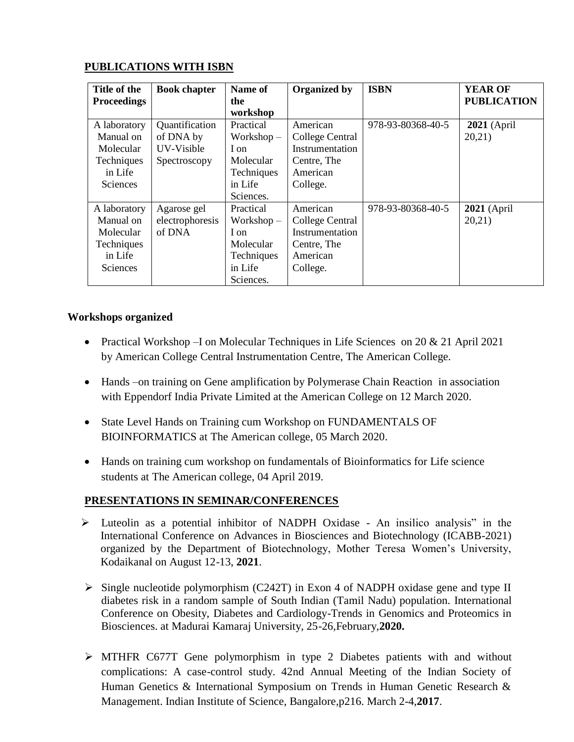| Title of the       | <b>Book chapter</b> | Name of      | <b>Organized by</b> | <b>ISBN</b>       | <b>YEAR OF</b>     |
|--------------------|---------------------|--------------|---------------------|-------------------|--------------------|
| <b>Proceedings</b> |                     | the          |                     |                   | <b>PUBLICATION</b> |
|                    |                     | workshop     |                     |                   |                    |
| A laboratory       | Quantification      | Practical    | American            | 978-93-80368-40-5 | 2021 (April        |
| Manual on          | of DNA by           | $Workshop -$ | College Central     |                   | 20,21)             |
| Molecular          | UV-Visible          | I on         | Instrumentation     |                   |                    |
| Techniques         | Spectroscopy        | Molecular    | Centre, The         |                   |                    |
| in Life            |                     | Techniques   | American            |                   |                    |
| <b>Sciences</b>    |                     | in Life      | College.            |                   |                    |
|                    |                     | Sciences.    |                     |                   |                    |
| A laboratory       | Agarose gel         | Practical    | American            | 978-93-80368-40-5 | $2021$ (April      |
| Manual on          | electrophoresis     | $Workshop -$ | College Central     |                   | 20,21)             |
| Molecular          | of DNA              | I on         | Instrumentation     |                   |                    |
| Techniques         |                     | Molecular    | Centre, The         |                   |                    |
| in Life            |                     | Techniques   | American            |                   |                    |
| Sciences           |                     | in Life      | College.            |                   |                    |
|                    |                     | Sciences.    |                     |                   |                    |

### **PUBLICATIONS WITH ISBN**

#### **Workshops organized**

- Practical Workshop –I on Molecular Techniques in Life Sciences on 20 & 21 April 2021 by American College Central Instrumentation Centre, The American College.
- Hands –on training on Gene amplification by Polymerase Chain Reaction in association with Eppendorf India Private Limited at the American College on 12 March 2020.
- State Level Hands on Training cum Workshop on FUNDAMENTALS OF BIOINFORMATICS at The American college, 05 March 2020.
- Hands on training cum workshop on fundamentals of Bioinformatics for Life science students at The American college, 04 April 2019.

### **PRESENTATIONS IN SEMINAR/CONFERENCES**

- Luteolin as a potential inhibitor of NADPH Oxidase An insilico analysis" in the International Conference on Advances in Biosciences and Biotechnology (ICABB-2021) organized by the Department of Biotechnology, Mother Teresa Women"s University, Kodaikanal on August 12-13, **2021**.
- $\triangleright$  Single nucleotide polymorphism (C242T) in Exon 4 of NADPH oxidase gene and type II diabetes risk in a random sample of South Indian (Tamil Nadu) population. International Conference on Obesity, Diabetes and Cardiology-Trends in Genomics and Proteomics in Biosciences. at Madurai Kamaraj University, 25-26,February,**2020.**
- MTHFR C677T Gene polymorphism in type 2 Diabetes patients with and without complications: A case-control study. 42nd Annual Meeting of the Indian Society of Human Genetics & International Symposium on Trends in Human Genetic Research & Management. Indian Institute of Science, Bangalore,p216. March 2-4,**2017**.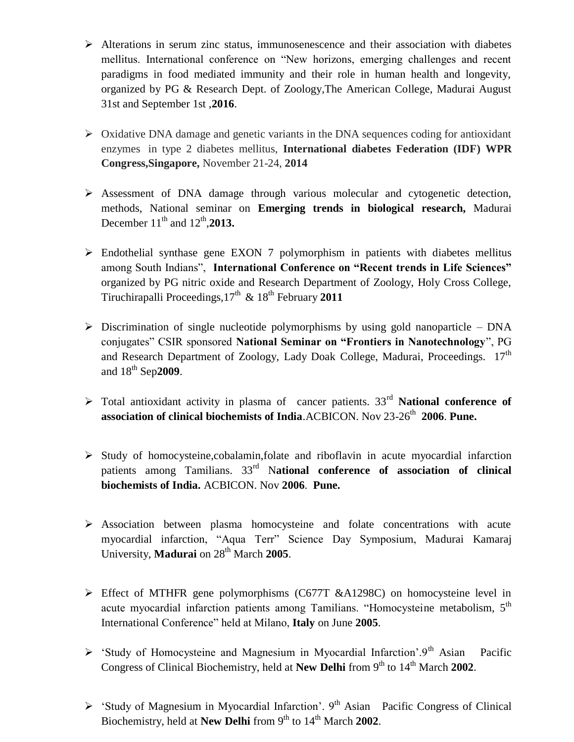- $\triangleright$  Alterations in serum zinc status, immunosenescence and their association with diabetes mellitus. International conference on "New horizons, emerging challenges and recent paradigms in food mediated immunity and their role in human health and longevity, organized by PG & Research Dept. of Zoology,The American College, Madurai August 31st and September 1st ,**2016**.
- $\triangleright$  Oxidative DNA damage and genetic variants in the DNA sequences coding for antioxidant enzymes in type 2 diabetes mellitus, **International diabetes Federation (IDF) WPR Congress,Singapore,** November 21-24, **2014**
- $\triangleright$  Assessment of DNA damage through various molecular and cytogenetic detection, methods, National seminar on **Emerging trends in biological research,** Madurai December  $11^{th}$  and  $12^{th}$ , **2013.**
- $\triangleright$  Endothelial synthase gene EXON 7 polymorphism in patients with diabetes mellitus among South Indians", **International Conference on "Recent trends in Life Sciences"** organized by PG nitric oxide and Research Department of Zoology, Holy Cross College, Tiruchirapalli Proceedings,17 th & 18th February **2011**
- $\triangleright$  Discrimination of single nucleotide polymorphisms by using gold nanoparticle DNA conjugates" CSIR sponsored **National Seminar on "Frontiers in Nanotechnology**", PG and Research Department of Zoology, Lady Doak College, Madurai, Proceedings.  $17<sup>th</sup>$ and 18th Sep**2009**.
- $\triangleright$  Total antioxidant activity in plasma of cancer patients. 33<sup>rd</sup> **National conference of association of clinical biochemists of India**.ACBICON. Nov 23-26<sup>th</sup> 2006. Pune.
- $\triangleright$  Study of homocysteine,cobalamin,folate and riboflavin in acute myocardial infarction patients among Tamilians. 33rd N**ational conference of association of clinical biochemists of India.** ACBICON. Nov **2006**. **Pune.**
- $\triangleright$  Association between plasma homocysteine and folate concentrations with acute myocardial infarction, "Aqua Terr" Science Day Symposium, Madurai Kamaraj University, **Madurai** on 28<sup>th</sup> March 2005.
- Effect of MTHFR gene polymorphisms (C677T &A1298C) on homocysteine level in acute myocardial infarction patients among Tamilians. "Homocysteine metabolism, 5<sup>th</sup> International Conference" held at Milano, **Italy** on June **2005**.
- $\triangleright$  'Study of Homocysteine and Magnesium in Myocardial Infarction'.9<sup>th</sup> Asian Pacific Congress of Clinical Biochemistry, held at **New Delhi** from 9<sup>th</sup> to 14<sup>th</sup> March 2002.
- $\triangleright$  'Study of Magnesium in Myocardial Infarction'. 9<sup>th</sup> Asian Pacific Congress of Clinical Biochemistry, held at **New Delhi** from 9<sup>th</sup> to 14<sup>th</sup> March 2002.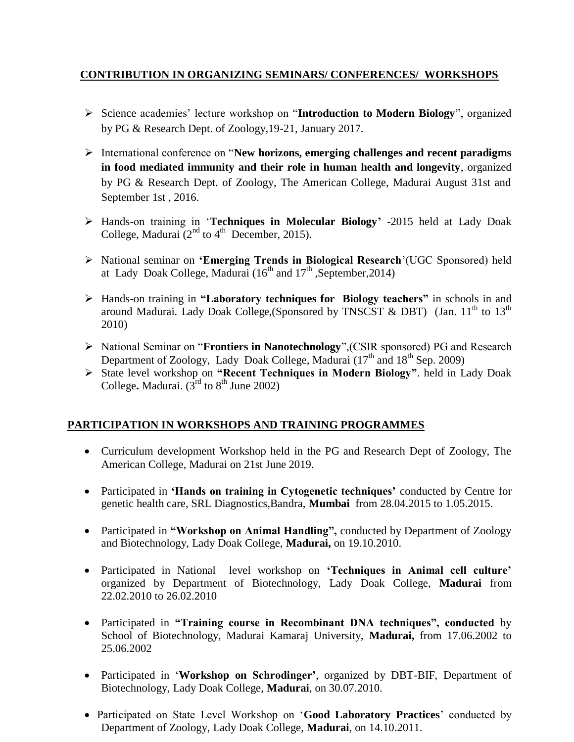### **CONTRIBUTION IN ORGANIZING SEMINARS/ CONFERENCES/ WORKSHOPS**

- Science academies" lecture workshop on "**Introduction to Modern Biology**", organized by PG & Research Dept. of Zoology,19-21, January 2017.
- International conference on "**New horizons, emerging challenges and recent paradigms in food mediated immunity and their role in human health and longevity**, organized by PG & Research Dept. of Zoology, The American College, Madurai August 31st and September 1st , 2016.
- Hands-on training in "**Techniques in Molecular Biology"** -2015 held at Lady Doak College, Madurai  $(2^{nd}$  to  $4^{th}$  December, 2015).
- National seminar on **"Emerging Trends in Biological Research**"(UGC Sponsored) held at Lady Doak College, Madurai  $(16^{th}$  and  $17^{th}$ , September, 2014)
- Hands-on training in **"Laboratory techniques for Biology teachers"** in schools in and around Madurai. Lady Doak College, (Sponsored by TNSCST  $\&$  DBT) (Jan.  $11<sup>th</sup>$  to  $13<sup>th</sup>$ 2010)
- National Seminar on "**Frontiers in Nanotechnology**",(CSIR sponsored) PG and Research Department of Zoology, Lady Doak College, Madurai  $(17<sup>th</sup>$  and  $18<sup>th</sup>$  Sep. 2009)
- State level workshop on **"Recent Techniques in Modern Biology"**. held in Lady Doak College. Madurai.  $(3<sup>rd</sup>$  to  $8<sup>th</sup>$  June 2002)

# **PARTICIPATION IN WORKSHOPS AND TRAINING PROGRAMMES**

- Curriculum development Workshop held in the PG and Research Dept of Zoology, The American College, Madurai on 21st June 2019.
- Participated in **'Hands on training in Cytogenetic techniques'** conducted by Centre for genetic health care, SRL Diagnostics,Bandra, **Mumbai** from 28.04.2015 to 1.05.2015.
- Participated in **"Workshop on Animal Handling"**, conducted by Department of Zoology and Biotechnology, Lady Doak College, **Madurai,** on 19.10.2010.
- Participated in National level workshop on **"Techniques in Animal cell culture"**  organized by Department of Biotechnology, Lady Doak College, **Madurai** from 22.02.2010 to 26.02.2010
- Participated in **"Training course in Recombinant DNA techniques", conducted** by School of Biotechnology, Madurai Kamaraj University, **Madurai,** from 17.06.2002 to 25.06.2002
- Participated in "**Workshop on Schrodinger"**, organized by DBT-BIF, Department of Biotechnology, Lady Doak College, **Madurai**, on 30.07.2010.
- Participated on State Level Workshop on "**Good Laboratory Practices**" conducted by Department of Zoology, Lady Doak College, **Madurai**, on 14.10.2011.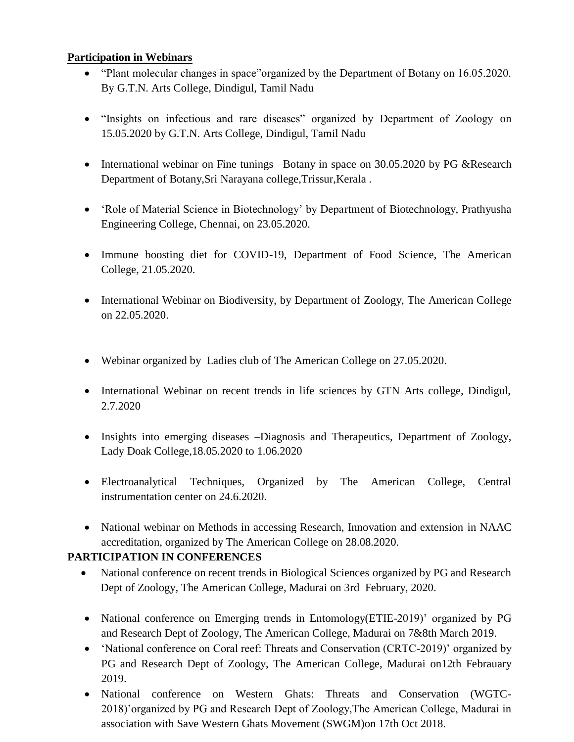### **Participation in Webinars**

- "Plant molecular changes in space" organized by the Department of Botany on 16.05.2020. By G.T.N. Arts College, Dindigul, Tamil Nadu
- "Insights on infectious and rare diseases" organized by Department of Zoology on 15.05.2020 by G.T.N. Arts College, Dindigul, Tamil Nadu
- International webinar on Fine tunings –Botany in space on 30.05.2020 by PG &Research Department of Botany,Sri Narayana college,Trissur,Kerala .
- 'Role of Material Science in Biotechnology' by Department of Biotechnology, Prathyusha Engineering College, Chennai, on 23.05.2020.
- Immune boosting diet for COVID-19, Department of Food Science, The American College, 21.05.2020.
- International Webinar on Biodiversity, by Department of Zoology, The American College on 22.05.2020.
- Webinar organized by Ladies club of The American College on 27.05.2020.
- International Webinar on recent trends in life sciences by GTN Arts college, Dindigul, 2.7.2020
- Insights into emerging diseases -Diagnosis and Therapeutics, Department of Zoology, Lady Doak College,18.05.2020 to 1.06.2020
- Electroanalytical Techniques, Organized by The American College, Central instrumentation center on 24.6.2020.
- National webinar on Methods in accessing Research, Innovation and extension in NAAC accreditation, organized by The American College on 28.08.2020.

# **PARTICIPATION IN CONFERENCES**

- National conference on recent trends in Biological Sciences organized by PG and Research Dept of Zoology, The American College, Madurai on 3rd February, 2020.
- National conference on Emerging trends in Entomology(ETIE-2019)' organized by PG and Research Dept of Zoology, The American College, Madurai on 7&8th March 2019.
- 'National conference on Coral reef: Threats and Conservation (CRTC-2019)' organized by PG and Research Dept of Zoology, The American College, Madurai on12th Febrauary 2019.
- National conference on Western Ghats: Threats and Conservation (WGTC-2018)"organized by PG and Research Dept of Zoology,The American College, Madurai in association with Save Western Ghats Movement (SWGM)on 17th Oct 2018.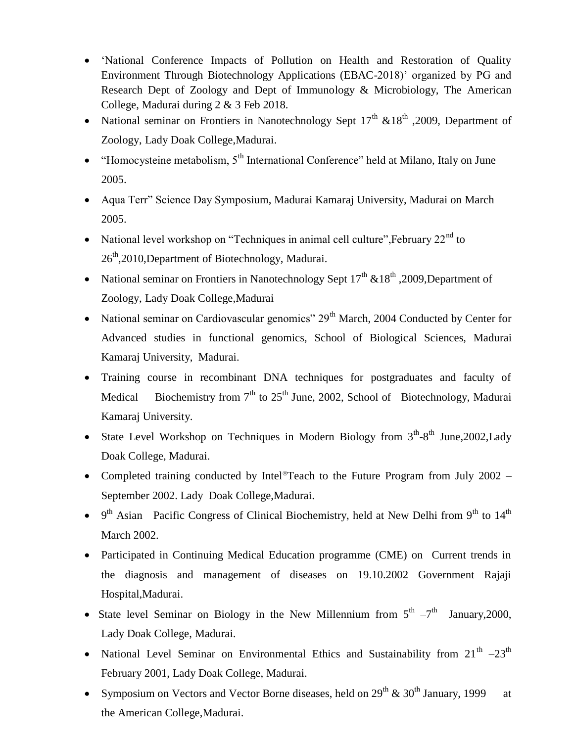- 'National Conference Impacts of Pollution on Health and Restoration of Quality Environment Through Biotechnology Applications (EBAC-2018)" organized by PG and Research Dept of Zoology and Dept of Immunology & Microbiology, The American College, Madurai during 2 & 3 Feb 2018.
- National seminar on Frontiers in Nanotechnology Sept  $17<sup>th</sup>$  &18<sup>th</sup> ,2009, Department of Zoology, Lady Doak College,Madurai.
- $\bullet$  "Homocysteine metabolism,  $5<sup>th</sup>$  International Conference" held at Milano, Italy on June 2005.
- Aqua Terr" Science Day Symposium, Madurai Kamaraj University, Madurai on March 2005.
- National level workshop on "Techniques in animal cell culture", February  $22<sup>nd</sup>$  to 26<sup>th</sup>,2010,Department of Biotechnology, Madurai.
- National seminar on Frontiers in Nanotechnology Sept  $17<sup>th</sup> \& 18<sup>th</sup>$ , 2009, Department of Zoology, Lady Doak College,Madurai
- National seminar on Cardiovascular genomics" 29<sup>th</sup> March, 2004 Conducted by Center for Advanced studies in functional genomics, School of Biological Sciences, Madurai Kamaraj University, Madurai.
- Training course in recombinant DNA techniques for postgraduates and faculty of Medical Biochemistry from  $7<sup>th</sup>$  to 25<sup>th</sup> June, 2002, School of Biotechnology, Madurai Kamaraj University.
- State Level Workshop on Techniques in Modern Biology from  $3<sup>th</sup>-8<sup>th</sup>$  June, 2002, Lady Doak College, Madurai.
- Completed training conducted by Intel®Teach to the Future Program from July 2002 September 2002. Lady Doak College,Madurai.
- $\bullet$  9<sup>th</sup> Asian Pacific Congress of Clinical Biochemistry, held at New Delhi from 9<sup>th</sup> to 14<sup>th</sup> March 2002.
- Participated in Continuing Medical Education programme (CME) on Current trends in the diagnosis and management of diseases on 19.10.2002 Government Rajaji Hospital,Madurai.
- State level Seminar on Biology in the New Millennium from  $5<sup>th</sup> 7<sup>th</sup>$  January, 2000, Lady Doak College, Madurai.
- National Level Seminar on Environmental Ethics and Sustainability from  $21^{th}$  -23<sup>th</sup> February 2001, Lady Doak College, Madurai.
- Symposium on Vectors and Vector Borne diseases, held on  $29^{th}$  &  $30^{th}$  January, 1999 at the American College,Madurai.